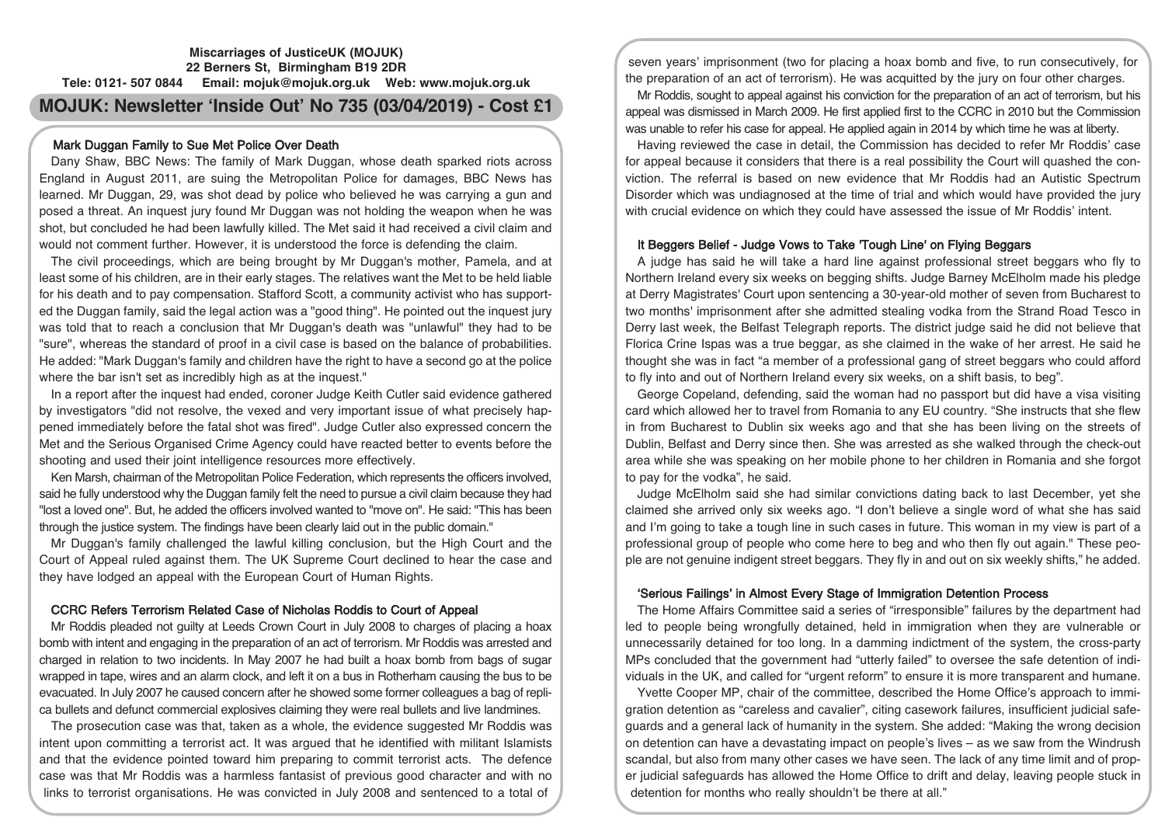# **Miscarriages of JusticeUK (MOJUK) 22 Berners St, Birmingham B19 2DR Tele: 0121- 507 0844 Email: mojuk@mojuk.org.uk Web: www.mojuk.org.uk MOJUK: Newsletter 'Inside Out' No 735 (03/04/2019) - Cost £1**

# Mark Duggan Family to Sue Met Police Over Death

Dany Shaw, BBC News: The family of Mark Duggan, whose death sparked riots across England in August 2011, are suing the Metropolitan Police for damages, BBC News has learned. Mr Duggan, 29, was shot dead by police who believed he was carrying a gun and posed a threat. An inquest jury found Mr Duggan was not holding the weapon when he was shot, but concluded he had been lawfully killed. The Met said it had received a civil claim and would not comment further. However, it is understood the force is defending the claim.

The civil proceedings, which are being brought by Mr Duggan's mother, Pamela, and at least some of his children, are in their early stages. The relatives want the Met to be held liable for his death and to pay compensation. Stafford Scott, a community activist who has supported the Duggan family, said the legal action was a "good thing". He pointed out the inquest jury was told that to reach a conclusion that Mr Duggan's death was "unlawful" they had to be "sure", whereas the standard of proof in a civil case is based on the balance of probabilities. He added: "Mark Duggan's family and children have the right to have a second go at the police where the bar isn't set as incredibly high as at the inquest."

In a report after the inquest had ended, coroner Judge Keith Cutler said evidence gathered by investigators "did not resolve, the vexed and very important issue of what precisely happened immediately before the fatal shot was fired". Judge Cutler also expressed concern the Met and the Serious Organised Crime Agency could have reacted better to events before the shooting and used their joint intelligence resources more effectively.

Ken Marsh, chairman of the Metropolitan Police Federation, which represents the officers involved, said he fully understood why the Duggan family felt the need to pursue a civil claim because they had "lost a loved one". But, he added the officers involved wanted to "move on". He said: "This has been through the justice system. The findings have been clearly laid out in the public domain."

Mr Duggan's family challenged the lawful killing conclusion, but the High Court and the Court of Appeal ruled against them. The UK Supreme Court declined to hear the case and they have lodged an appeal with the European Court of Human Rights.

### CCRC Refers Terrorism Related Case of Nicholas Roddis to Court of Appeal

Mr Roddis pleaded not guilty at Leeds Crown Court in July 2008 to charges of placing a hoax bomb with intent and engaging in the preparation of an act of terrorism. Mr Roddis was arrested and charged in relation to two incidents. In May 2007 he had built a hoax bomb from bags of sugar wrapped in tape, wires and an alarm clock, and left it on a bus in Rotherham causing the bus to be evacuated. In July 2007 he caused concern after he showed some former colleagues a bag of replica bullets and defunct commercial explosives claiming they were real bullets and live landmines.

The prosecution case was that, taken as a whole, the evidence suggested Mr Roddis was intent upon committing a terrorist act. It was argued that he identified with militant Islamists and that the evidence pointed toward him preparing to commit terrorist acts. The defence case was that Mr Roddis was a harmless fantasist of previous good character and with no links to terrorist organisations. He was convicted in July 2008 and sentenced to a total of

seven years' imprisonment (two for placing a hoax bomb and five, to run consecutively, for the preparation of an act of terrorism). He was acquitted by the jury on four other charges.

Mr Roddis, sought to appeal against his conviction for the preparation of an act of terrorism, but his appeal was dismissed in March 2009. He first applied first to the CCRC in 2010 but the Commission was unable to refer his case for appeal. He applied again in 2014 by which time he was at liberty.

Having reviewed the case in detail, the Commission has decided to refer Mr Roddis' case for appeal because it considers that there is a real possibility the Court will quashed the conviction. The referral is based on new evidence that Mr Roddis had an Autistic Spectrum Disorder which was undiagnosed at the time of trial and which would have provided the jury with crucial evidence on which they could have assessed the issue of Mr Roddis' intent.

# It Beggers Belief - Judge Vows to Take 'Tough Line' on Flying Beggars

A judge has said he will take a hard line against professional street beggars who fly to Northern Ireland every six weeks on begging shifts. Judge Barney McElholm made his pledge at Derry Magistrates' Court upon sentencing a 30-year-old mother of seven from Bucharest to two months' imprisonment after she admitted stealing vodka from the Strand Road Tesco in Derry last week, the Belfast Telegraph reports. The district judge said he did not believe that Florica Crine Ispas was a true beggar, as she claimed in the wake of her arrest. He said he thought she was in fact "a member of a professional gang of street beggars who could afford to fly into and out of Northern Ireland every six weeks, on a shift basis, to beg".

George Copeland, defending, said the woman had no passport but did have a visa visiting card which allowed her to travel from Romania to any EU country. "She instructs that she flew in from Bucharest to Dublin six weeks ago and that she has been living on the streets of Dublin, Belfast and Derry since then. She was arrested as she walked through the check-out area while she was speaking on her mobile phone to her children in Romania and she forgot to pay for the vodka", he said.

Judge McElholm said she had similar convictions dating back to last December, yet she claimed she arrived only six weeks ago. "I don't believe a single word of what she has said and I'm going to take a tough line in such cases in future. This woman in my view is part of a professional group of people who come here to beg and who then fly out again." These people are not genuine indigent street beggars. They fly in and out on six weekly shifts," he added.

#### 'Serious Failings' in Almost Every Stage of Immigration Detention Process

The Home Affairs Committee said a series of "irresponsible" failures by the department had led to people being wrongfully detained, held in immigration when they are vulnerable or unnecessarily detained for too long. In a damming indictment of the system, the cross-party MPs concluded that the government had "utterly failed" to oversee the safe detention of individuals in the UK, and called for "urgent reform" to ensure it is more transparent and humane.

Yvette Cooper MP, chair of the committee, described the Home Office's approach to immigration detention as "careless and cavalier", citing casework failures, insufficient judicial safeguards and a general lack of humanity in the system. She added: "Making the wrong decision on detention can have a devastating impact on people's lives – as we saw from the Windrush scandal, but also from many other cases we have seen. The lack of any time limit and of proper judicial safeguards has allowed the Home Office to drift and delay, leaving people stuck in detention for months who really shouldn't be there at all."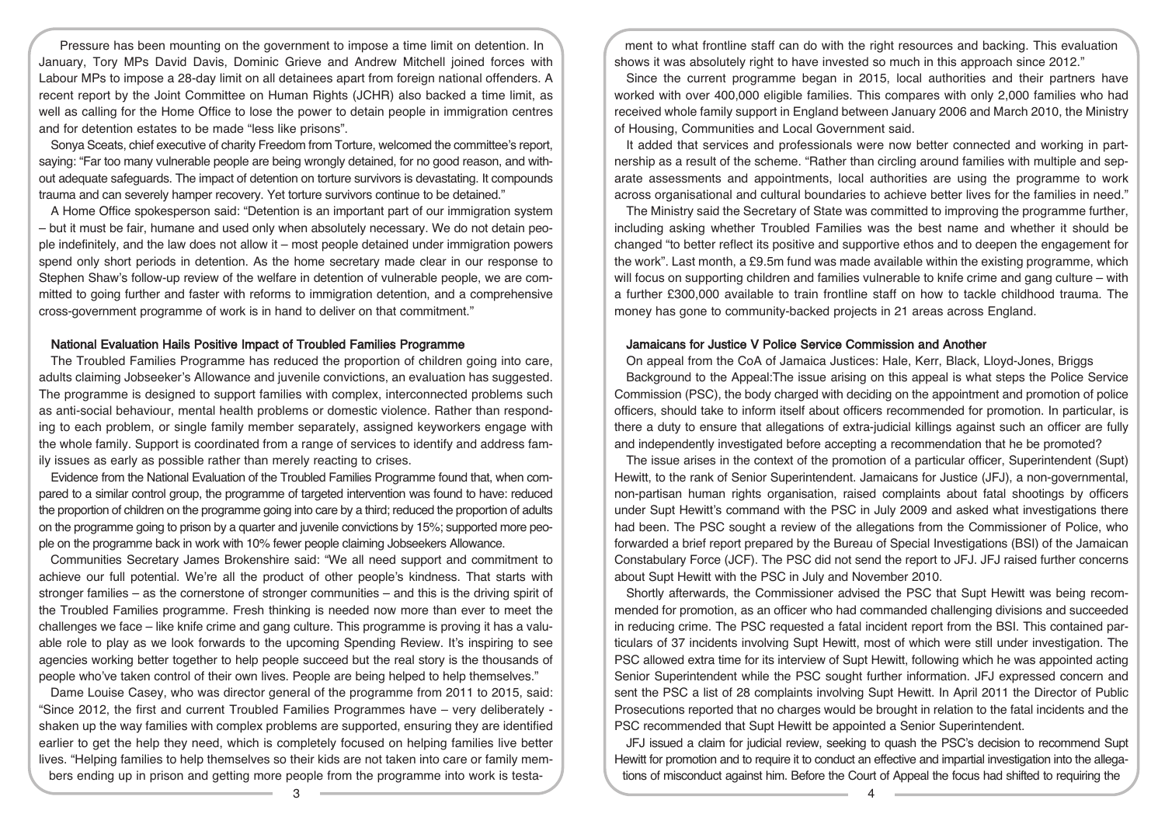Pressure has been mounting on the government to impose a time limit on detention. In January, Tory MPs David Davis, Dominic Grieve and Andrew Mitchell joined forces with Labour MPs to impose a 28-day limit on all detainees apart from foreign national offenders. A recent report by the Joint Committee on Human Rights (JCHR) also backed a time limit, as well as calling for the Home Office to lose the power to detain people in immigration centres and for detention estates to be made "less like prisons".

Sonya Sceats, chief executive of charity Freedom from Torture, welcomed the committee's report, saying: "Far too many vulnerable people are being wrongly detained, for no good reason, and without adequate safeguards. The impact of detention on torture survivors is devastating. It compounds trauma and can severely hamper recovery. Yet torture survivors continue to be detained."

A Home Office spokesperson said: "Detention is an important part of our immigration system – but it must be fair, humane and used only when absolutely necessary. We do not detain people indefinitely, and the law does not allow it – most people detained under immigration powers spend only short periods in detention. As the home secretary made clear in our response to Stephen Shaw's follow-up review of the welfare in detention of vulnerable people, we are committed to going further and faster with reforms to immigration detention, and a comprehensive cross-government programme of work is in hand to deliver on that commitment."

# National Evaluation Hails Positive Impact of Troubled Families Programme

The Troubled Families Programme has reduced the proportion of children going into care, adults claiming Jobseeker's Allowance and juvenile convictions, an evaluation has suggested. The programme is designed to support families with complex, interconnected problems such as anti-social behaviour, mental health problems or domestic violence. Rather than responding to each problem, or single family member separately, assigned keyworkers engage with the whole family. Support is coordinated from a range of services to identify and address family issues as early as possible rather than merely reacting to crises.

Evidence from the National Evaluation of the Troubled Families Programme found that, when compared to a similar control group, the programme of targeted intervention was found to have: reduced the proportion of children on the programme going into care by a third; reduced the proportion of adults on the programme going to prison by a quarter and juvenile convictions by 15%; supported more people on the programme back in work with 10% fewer people claiming Jobseekers Allowance.

Communities Secretary James Brokenshire said: "We all need support and commitment to achieve our full potential. We're all the product of other people's kindness. That starts with stronger families – as the cornerstone of stronger communities – and this is the driving spirit of the Troubled Families programme. Fresh thinking is needed now more than ever to meet the challenges we face – like knife crime and gang culture. This programme is proving it has a valuable role to play as we look forwards to the upcoming Spending Review. It's inspiring to see agencies working better together to help people succeed but the real story is the thousands of people who've taken control of their own lives. People are being helped to help themselves."

Dame Louise Casey, who was director general of the programme from 2011 to 2015, said: "Since 2012, the first and current Troubled Families Programmes have – very deliberately shaken up the way families with complex problems are supported, ensuring they are identified earlier to get the help they need, which is completely focused on helping families live better lives. "Helping families to help themselves so their kids are not taken into care or family members ending up in prison and getting more people from the programme into work is testa-

ment to what frontline staff can do with the right resources and backing. This evaluation shows it was absolutely right to have invested so much in this approach since 2012."

Since the current programme began in 2015, local authorities and their partners have worked with over 400,000 eligible families. This compares with only 2,000 families who had received whole family support in England between January 2006 and March 2010, the Ministry of Housing, Communities and Local Government said.

It added that services and professionals were now better connected and working in partnership as a result of the scheme. "Rather than circling around families with multiple and separate assessments and appointments, local authorities are using the programme to work across organisational and cultural boundaries to achieve better lives for the families in need."

The Ministry said the Secretary of State was committed to improving the programme further, including asking whether Troubled Families was the best name and whether it should be changed "to better reflect its positive and supportive ethos and to deepen the engagement for the work". Last month, a £9.5m fund was made available within the existing programme, which will focus on supporting children and families vulnerable to knife crime and gang culture – with a further £300,000 available to train frontline staff on how to tackle childhood trauma. The money has gone to community-backed projects in 21 areas across England.

### Jamaicans for Justice V Police Service Commission and Another

On appeal from the CoA of Jamaica Justices: Hale, Kerr, Black, Lloyd-Jones, Briggs Background to the Appeal:The issue arising on this appeal is what steps the Police Service Commission (PSC), the body charged with deciding on the appointment and promotion of police officers, should take to inform itself about officers recommended for promotion. In particular, is there a duty to ensure that allegations of extra-judicial killings against such an officer are fully and independently investigated before accepting a recommendation that he be promoted?

The issue arises in the context of the promotion of a particular officer, Superintendent (Supt) Hewitt, to the rank of Senior Superintendent. Jamaicans for Justice (JFJ), a non-governmental, non-partisan human rights organisation, raised complaints about fatal shootings by officers under Supt Hewitt's command with the PSC in July 2009 and asked what investigations there had been. The PSC sought a review of the allegations from the Commissioner of Police, who forwarded a brief report prepared by the Bureau of Special Investigations (BSI) of the Jamaican Constabulary Force (JCF). The PSC did not send the report to JFJ. JFJ raised further concerns about Supt Hewitt with the PSC in July and November 2010.

Shortly afterwards, the Commissioner advised the PSC that Supt Hewitt was being recommended for promotion, as an officer who had commanded challenging divisions and succeeded in reducing crime. The PSC requested a fatal incident report from the BSI. This contained particulars of 37 incidents involving Supt Hewitt, most of which were still under investigation. The PSC allowed extra time for its interview of Supt Hewitt, following which he was appointed acting Senior Superintendent while the PSC sought further information. JFJ expressed concern and sent the PSC a list of 28 complaints involving Supt Hewitt. In April 2011 the Director of Public Prosecutions reported that no charges would be brought in relation to the fatal incidents and the PSC recommended that Supt Hewitt be appointed a Senior Superintendent.

JFJ issued a claim for judicial review, seeking to quash the PSC's decision to recommend Supt Hewitt for promotion and to require it to conduct an effective and impartial investigation into the allegations of misconduct against him. Before the Court of Appeal the focus had shifted to requiring the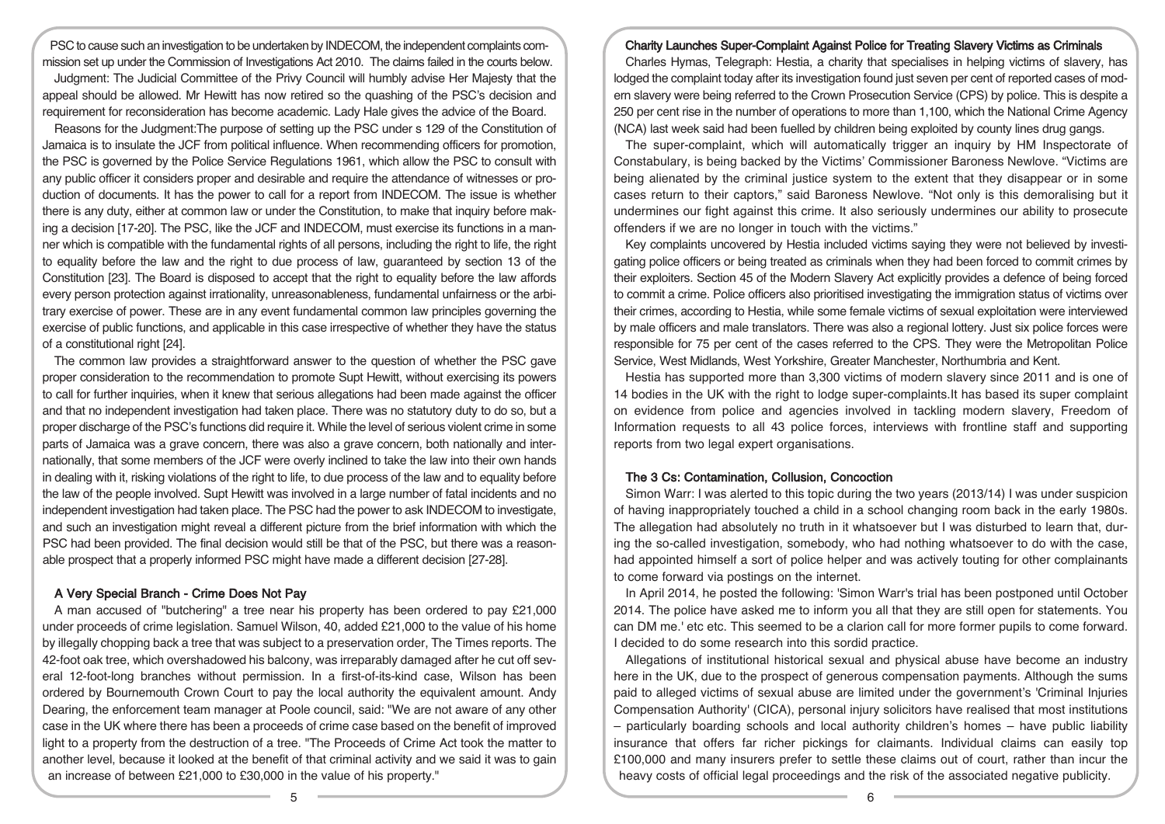PSC to cause such an investigation to be undertaken by INDECOM, the independent complaints commission set up under the Commission of Investigations Act 2010. The claims failed in the courts below.

Judgment: The Judicial Committee of the Privy Council will humbly advise Her Majesty that the appeal should be allowed. Mr Hewitt has now retired so the quashing of the PSC's decision and requirement for reconsideration has become academic. Lady Hale gives the advice of the Board.

Reasons for the Judgment:The purpose of setting up the PSC under s 129 of the Constitution of Jamaica is to insulate the JCF from political influence. When recommending officers for promotion, the PSC is governed by the Police Service Regulations 1961, which allow the PSC to consult with any public officer it considers proper and desirable and require the attendance of witnesses or production of documents. It has the power to call for a report from INDECOM. The issue is whether there is any duty, either at common law or under the Constitution, to make that inquiry before making a decision [17-20]. The PSC, like the JCF and INDECOM, must exercise its functions in a manner which is compatible with the fundamental rights of all persons, including the right to life, the right to equality before the law and the right to due process of law, guaranteed by section 13 of the Constitution [23]. The Board is disposed to accept that the right to equality before the law affords every person protection against irrationality, unreasonableness, fundamental unfairness or the arbitrary exercise of power. These are in any event fundamental common law principles governing the exercise of public functions, and applicable in this case irrespective of whether they have the status of a constitutional right [24].

The common law provides a straightforward answer to the question of whether the PSC gave proper consideration to the recommendation to promote Supt Hewitt, without exercising its powers to call for further inquiries, when it knew that serious allegations had been made against the officer and that no independent investigation had taken place. There was no statutory duty to do so, but a proper discharge of the PSC's functions did require it. While the level of serious violent crime in some parts of Jamaica was a grave concern, there was also a grave concern, both nationally and internationally, that some members of the JCF were overly inclined to take the law into their own hands in dealing with it, risking violations of the right to life, to due process of the law and to equality before the law of the people involved. Supt Hewitt was involved in a large number of fatal incidents and no independent investigation had taken place. The PSC had the power to ask INDECOM to investigate, and such an investigation might reveal a different picture from the brief information with which the PSC had been provided. The final decision would still be that of the PSC, but there was a reasonable prospect that a properly informed PSC might have made a different decision [27-28].

#### A Very Special Branch - Crime Does Not Pay

A man accused of "butchering" a tree near his property has been ordered to pay £21,000 under proceeds of crime legislation. Samuel Wilson, 40, added £21,000 to the value of his home by illegally chopping back a tree that was subject to a preservation order, The Times reports. The 42-foot oak tree, which overshadowed his balcony, was irreparably damaged after he cut off several 12-foot-long branches without permission. In a first-of-its-kind case, Wilson has been ordered by Bournemouth Crown Court to pay the local authority the equivalent amount. Andy Dearing, the enforcement team manager at Poole council, said: "We are not aware of any other case in the UK where there has been a proceeds of crime case based on the benefit of improved light to a property from the destruction of a tree. "The Proceeds of Crime Act took the matter to another level, because it looked at the benefit of that criminal activity and we said it was to gain an increase of between £21,000 to £30,000 in the value of his property."

# Charity Launches Super-Complaint Against Police for Treating Slavery Victims as Criminals

Charles Hymas, Telegraph: Hestia, a charity that specialises in helping victims of slavery, has lodged the complaint today after its investigation found just seven per cent of reported cases of modern slavery were being referred to the Crown Prosecution Service (CPS) by police. This is despite a 250 per cent rise in the number of operations to more than 1,100, which the National Crime Agency (NCA) last week said had been fuelled by children being exploited by county lines drug gangs.

The super-complaint, which will automatically trigger an inquiry by HM Inspectorate of Constabulary, is being backed by the Victims' Commissioner Baroness Newlove. "Victims are being alienated by the criminal justice system to the extent that they disappear or in some cases return to their captors," said Baroness Newlove. "Not only is this demoralising but it undermines our fight against this crime. It also seriously undermines our ability to prosecute offenders if we are no longer in touch with the victims."

Key complaints uncovered by Hestia included victims saying they were not believed by investigating police officers or being treated as criminals when they had been forced to commit crimes by their exploiters. Section 45 of the Modern Slavery Act explicitly provides a defence of being forced to commit a crime. Police officers also prioritised investigating the immigration status of victims over their crimes, according to Hestia, while some female victims of sexual exploitation were interviewed by male officers and male translators. There was also a regional lottery. Just six police forces were responsible for 75 per cent of the cases referred to the CPS. They were the Metropolitan Police Service, West Midlands, West Yorkshire, Greater Manchester, Northumbria and Kent.

Hestia has supported more than 3,300 victims of modern slavery since 2011 and is one of 14 bodies in the UK with the right to lodge super-complaints.It has based its super complaint on evidence from police and agencies involved in tackling modern slavery, Freedom of Information requests to all 43 police forces, interviews with frontline staff and supporting reports from two legal expert organisations.

# The 3 Cs: Contamination, Collusion, Concoction

Simon Warr: I was alerted to this topic during the two years (2013/14) I was under suspicion of having inappropriately touched a child in a school changing room back in the early 1980s. The allegation had absolutely no truth in it whatsoever but I was disturbed to learn that, during the so-called investigation, somebody, who had nothing whatsoever to do with the case, had appointed himself a sort of police helper and was actively touting for other complainants to come forward via postings on the internet.

In April 2014, he posted the following: 'Simon Warr's trial has been postponed until October 2014. The police have asked me to inform you all that they are still open for statements. You can DM me.' etc etc. This seemed to be a clarion call for more former pupils to come forward. I decided to do some research into this sordid practice.

Allegations of institutional historical sexual and physical abuse have become an industry here in the UK, due to the prospect of generous compensation payments. Although the sums paid to alleged victims of sexual abuse are limited under the government's 'Criminal Injuries Compensation Authority' (CICA), personal injury solicitors have realised that most institutions – particularly boarding schools and local authority children's homes – have public liability insurance that offers far richer pickings for claimants. Individual claims can easily top £100,000 and many insurers prefer to settle these claims out of court, rather than incur the heavy costs of official legal proceedings and the risk of the associated negative publicity.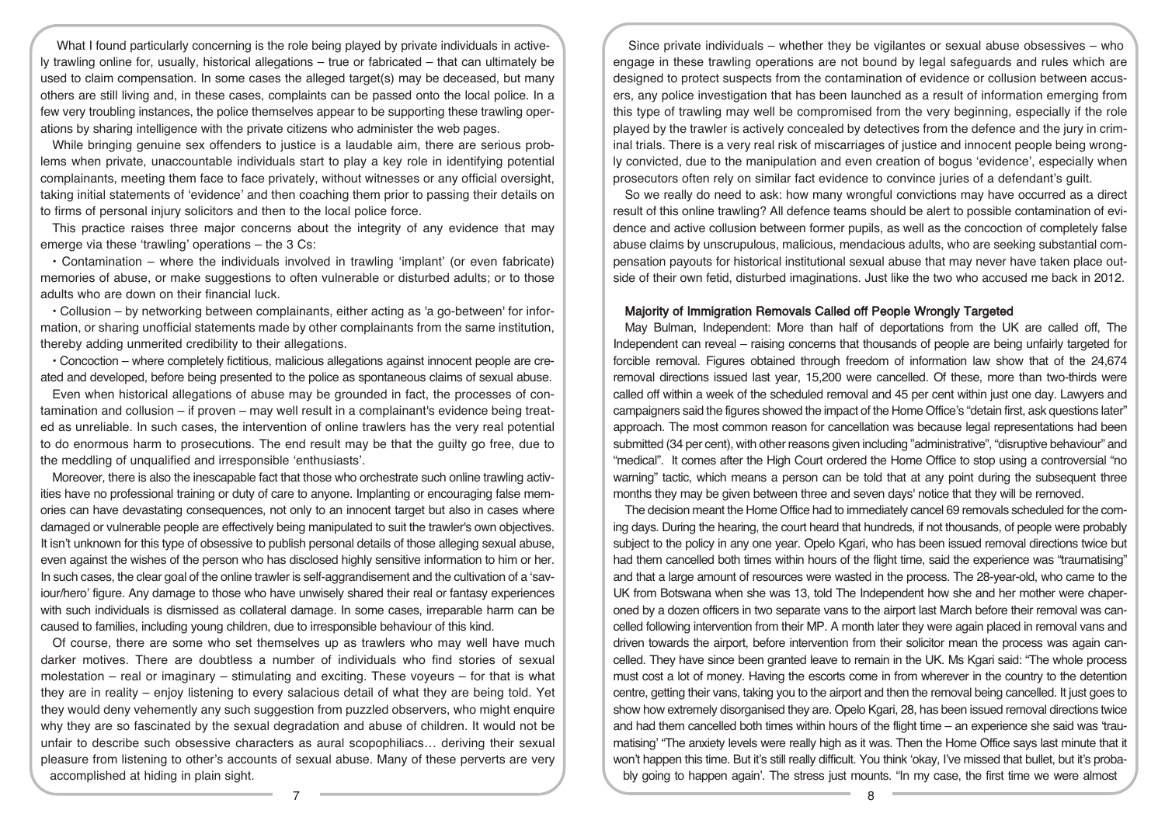What I found particularly concerning is the role being played by private individuals in actively trawling online for, usually, historical allegations – true or fabricated – that can ultimately be used to claim compensation. In some cases the alleged target(s) may be deceased, but many others are still living and, in these cases, complaints can be passed onto the local police. In a few very troubling instances, the police themselves appear to be supporting these trawling operations by sharing intelligence with the private citizens who administer the web pages.

While bringing genuine sex offenders to justice is a laudable aim, there are serious problems when private, unaccountable individuals start to play a key role in identifying potential complainants, meeting them face to face privately, without witnesses or any official oversight, taking initial statements of 'evidence' and then coaching them prior to passing their details on to firms of personal injury solicitors and then to the local police force.

This practice raises three major concerns about the integrity of any evidence that may emerge via these 'trawling' operations – the 3 Cs:

• Contamination – where the individuals involved in trawling 'implant' (or even fabricate) memories of abuse, or make suggestions to often vulnerable or disturbed adults; or to those adults who are down on their financial luck.

• Collusion – by networking between complainants, either acting as 'a go-between' for information, or sharing unofficial statements made by other complainants from the same institution, thereby adding unmerited credibility to their allegations.

• Concoction – where completely fictitious, malicious allegations against innocent people are created and developed, before being presented to the police as spontaneous claims of sexual abuse.

Even when historical allegations of abuse may be grounded in fact, the processes of contamination and collusion – if proven – may well result in a complainant's evidence being treated as unreliable. In such cases, the intervention of online trawlers has the very real potential to do enormous harm to prosecutions. The end result may be that the guilty go free, due to the meddling of unqualified and irresponsible 'enthusiasts'.

Moreover, there is also the inescapable fact that those who orchestrate such online trawling activities have no professional training or duty of care to anyone. Implanting or encouraging false memories can have devastating consequences, not only to an innocent target but also in cases where damaged or vulnerable people are effectively being manipulated to suit the trawler's own objectives. It isn't unknown for this type of obsessive to publish personal details of those alleging sexual abuse, even against the wishes of the person who has disclosed highly sensitive information to him or her. In such cases, the clear goal of the online trawler is self-aggrandisement and the cultivation of a 'saviour/hero' figure. Any damage to those who have unwisely shared their real or fantasy experiences with such individuals is dismissed as collateral damage. In some cases, irreparable harm can be caused to families, including young children, due to irresponsible behaviour of this kind.

Of course, there are some who set themselves up as trawlers who may well have much darker motives. There are doubtless a number of individuals who find stories of sexual molestation – real or imaginary – stimulating and exciting. These voyeurs – for that is what they are in reality – enjoy listening to every salacious detail of what they are being told. Yet they would deny vehemently any such suggestion from puzzled observers, who might enquire why they are so fascinated by the sexual degradation and abuse of children. It would not be unfair to describe such obsessive characters as aural scopophiliacs… deriving their sexual pleasure from listening to other's accounts of sexual abuse. Many of these perverts are very accomplished at hiding in plain sight.

Since private individuals – whether they be vigilantes or sexual abuse obsessives – who engage in these trawling operations are not bound by legal safeguards and rules which are designed to protect suspects from the contamination of evidence or collusion between accusers, any police investigation that has been launched as a result of information emerging from this type of trawling may well be compromised from the very beginning, especially if the role played by the trawler is actively concealed by detectives from the defence and the jury in criminal trials. There is a very real risk of miscarriages of justice and innocent people being wrongly convicted, due to the manipulation and even creation of bogus 'evidence', especially when prosecutors often rely on similar fact evidence to convince juries of a defendant's guilt.

So we really do need to ask: how many wrongful convictions may have occurred as a direct result of this online trawling? All defence teams should be alert to possible contamination of evidence and active collusion between former pupils, as well as the concoction of completely false abuse claims by unscrupulous, malicious, mendacious adults, who are seeking substantial compensation payouts for historical institutional sexual abuse that may never have taken place outside of their own fetid, disturbed imaginations. Just like the two who accused me back in 2012.

#### Majority of Immigration Removals Called off People Wrongly Targeted

May Bulman, Independent: More than half of deportations from the UK are called off, The Independent can reveal – raising concerns that thousands of people are being unfairly targeted for forcible removal. Figures obtained through freedom of information law show that of the 24,674 removal directions issued last year, 15,200 were cancelled. Of these, more than two-thirds were called off within a week of the scheduled removal and 45 per cent within just one day. Lawyers and campaigners said the figures showed the impact of the Home Office's "detain first, ask questions later" approach. The most common reason for cancellation was because legal representations had been submitted (34 per cent), with other reasons given including "administrative", "disruptive behaviour" and "medical". It comes after the High Court ordered the Home Office to stop using a controversial "no warning" tactic, which means a person can be told that at any point during the subsequent three months they may be given between three and seven days' notice that they will be removed.

The decision meant the Home Office had to immediately cancel 69 removals scheduled for the coming days. During the hearing, the court heard that hundreds, if not thousands, of people were probably subject to the policy in any one year. Opelo Kgari, who has been issued removal directions twice but had them cancelled both times within hours of the flight time, said the experience was "traumatising" and that a large amount of resources were wasted in the process. The 28-year-old, who came to the UK from Botswana when she was 13, told The Independent how she and her mother were chaperoned by a dozen officers in two separate vans to the airport last March before their removal was cancelled following intervention from their MP. A month later they were again placed in removal vans and driven towards the airport, before intervention from their solicitor mean the process was again cancelled. They have since been granted leave to remain in the UK. Ms Kgari said: "The whole process must cost a lot of money. Having the escorts come in from wherever in the country to the detention centre, getting their vans, taking you to the airport and then the removal being cancelled. It just goes to show how extremely disorganised they are. Opelo Kgari, 28, has been issued removal directions twice and had them cancelled both times within hours of the flight time – an experience she said was 'traumatising' "The anxiety levels were really high as it was. Then the Home Office says last minute that it won't happen this time. But it's still really difficult. You think 'okay, I've missed that bullet, but it's probably going to happen again'. The stress just mounts. "In my case, the first time we were almost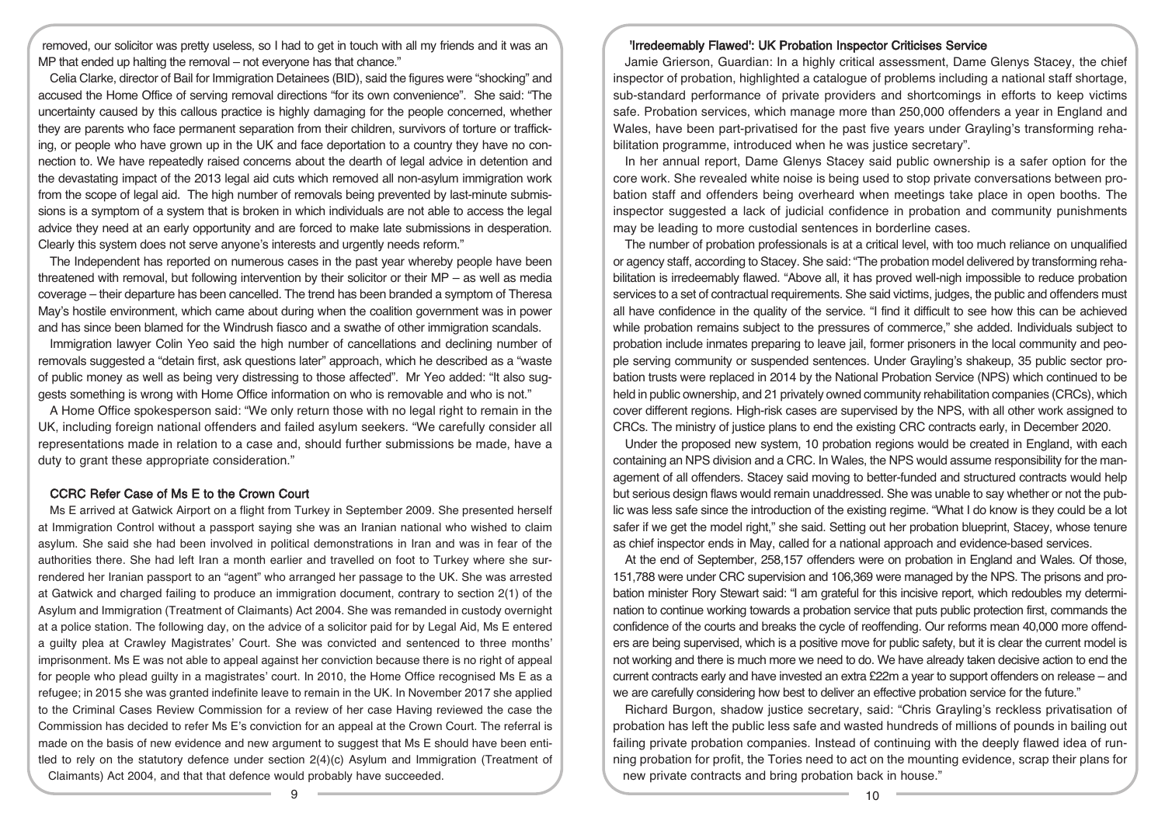removed, our solicitor was pretty useless, so I had to get in touch with all my friends and it was an MP that ended up halting the removal – not everyone has that chance."

Celia Clarke, director of Bail for Immigration Detainees (BID), said the figures were "shocking" and accused the Home Office of serving removal directions "for its own convenience". She said: "The uncertainty caused by this callous practice is highly damaging for the people concerned, whether they are parents who face permanent separation from their children, survivors of torture or trafficking, or people who have grown up in the UK and face deportation to a country they have no connection to. We have repeatedly raised concerns about the dearth of legal advice in detention and the devastating impact of the 2013 legal aid cuts which removed all non-asylum immigration work from the scope of legal aid. The high number of removals being prevented by last-minute submissions is a symptom of a system that is broken in which individuals are not able to access the legal advice they need at an early opportunity and are forced to make late submissions in desperation. Clearly this system does not serve anyone's interests and urgently needs reform."

The Independent has reported on numerous cases in the past year whereby people have been threatened with removal, but following intervention by their solicitor or their MP – as well as media coverage – their departure has been cancelled. The trend has been branded a symptom of Theresa May's hostile environment, which came about during when the coalition government was in power and has since been blamed for the Windrush fiasco and a swathe of other immigration scandals.

Immigration lawyer Colin Yeo said the high number of cancellations and declining number of removals suggested a "detain first, ask questions later" approach, which he described as a "waste of public money as well as being very distressing to those affected". Mr Yeo added: "It also suggests something is wrong with Home Office information on who is removable and who is not."

A Home Office spokesperson said: "We only return those with no legal right to remain in the UK, including foreign national offenders and failed asylum seekers. "We carefully consider all representations made in relation to a case and, should further submissions be made, have a duty to grant these appropriate consideration."

# CCRC Refer Case of Ms E to the Crown Court

Ms E arrived at Gatwick Airport on a flight from Turkey in September 2009. She presented herself at Immigration Control without a passport saying she was an Iranian national who wished to claim asylum. She said she had been involved in political demonstrations in Iran and was in fear of the authorities there. She had left Iran a month earlier and travelled on foot to Turkey where she surrendered her Iranian passport to an "agent" who arranged her passage to the UK. She was arrested at Gatwick and charged failing to produce an immigration document, contrary to section 2(1) of the Asylum and Immigration (Treatment of Claimants) Act 2004. She was remanded in custody overnight at a police station. The following day, on the advice of a solicitor paid for by Legal Aid, Ms E entered a guilty plea at Crawley Magistrates' Court. She was convicted and sentenced to three months' imprisonment. Ms E was not able to appeal against her conviction because there is no right of appeal for people who plead quilty in a magistrates' court. In 2010, the Home Office recognised Ms E as a refugee; in 2015 she was granted indefinite leave to remain in the UK. In November 2017 she applied to the Criminal Cases Review Commission for a review of her case Having reviewed the case the Commission has decided to refer Ms E's conviction for an appeal at the Crown Court. The referral is made on the basis of new evidence and new argument to suggest that Ms E should have been entitled to rely on the statutory defence under section 2(4)(c) Asylum and Immigration (Treatment of Claimants) Act 2004, and that that defence would probably have succeeded.

### 'Irredeemably Flawed': UK Probation Inspector Criticises Service

Jamie Grierson, Guardian: In a highly critical assessment, Dame Glenys Stacey, the chief inspector of probation, highlighted a catalogue of problems including a national staff shortage, sub-standard performance of private providers and shortcomings in efforts to keep victims safe. Probation services, which manage more than 250,000 offenders a year in England and Wales, have been part-privatised for the past five years under Grayling's transforming rehabilitation programme, introduced when he was justice secretary".

In her annual report, Dame Glenys Stacey said public ownership is a safer option for the core work. She revealed white noise is being used to stop private conversations between probation staff and offenders being overheard when meetings take place in open booths. The inspector suggested a lack of judicial confidence in probation and community punishments may be leading to more custodial sentences in borderline cases.

The number of probation professionals is at a critical level, with too much reliance on unqualified or agency staff, according to Stacey. She said: "The probation model delivered by transforming rehabilitation is irredeemably flawed. "Above all, it has proved well-nigh impossible to reduce probation services to a set of contractual requirements. She said victims, judges, the public and offenders must all have confidence in the quality of the service. "I find it difficult to see how this can be achieved while probation remains subject to the pressures of commerce," she added. Individuals subject to probation include inmates preparing to leave jail, former prisoners in the local community and people serving community or suspended sentences. Under Grayling's shakeup, 35 public sector probation trusts were replaced in 2014 by the National Probation Service (NPS) which continued to be held in public ownership, and 21 privately owned community rehabilitation companies (CRCs), which cover different regions. High-risk cases are supervised by the NPS, with all other work assigned to CRCs. The ministry of justice plans to end the existing CRC contracts early, in December 2020.

Under the proposed new system, 10 probation regions would be created in England, with each containing an NPS division and a CRC. In Wales, the NPS would assume responsibility for the management of all offenders. Stacey said moving to better-funded and structured contracts would help but serious design flaws would remain unaddressed. She was unable to say whether or not the public was less safe since the introduction of the existing regime. "What I do know is they could be a lot safer if we get the model right," she said. Setting out her probation blueprint, Stacey, whose tenure as chief inspector ends in May, called for a national approach and evidence-based services.

At the end of September, 258,157 offenders were on probation in England and Wales. Of those, 151,788 were under CRC supervision and 106,369 were managed by the NPS. The prisons and probation minister Rory Stewart said: "I am grateful for this incisive report, which redoubles my determination to continue working towards a probation service that puts public protection first, commands the confidence of the courts and breaks the cycle of reoffending. Our reforms mean 40,000 more offenders are being supervised, which is a positive move for public safety, but it is clear the current model is not working and there is much more we need to do. We have already taken decisive action to end the current contracts early and have invested an extra £22m a year to support offenders on release – and we are carefully considering how best to deliver an effective probation service for the future."

Richard Burgon, shadow justice secretary, said: "Chris Grayling's reckless privatisation of probation has left the public less safe and wasted hundreds of millions of pounds in bailing out failing private probation companies. Instead of continuing with the deeply flawed idea of running probation for profit, the Tories need to act on the mounting evidence, scrap their plans for new private contracts and bring probation back in house."